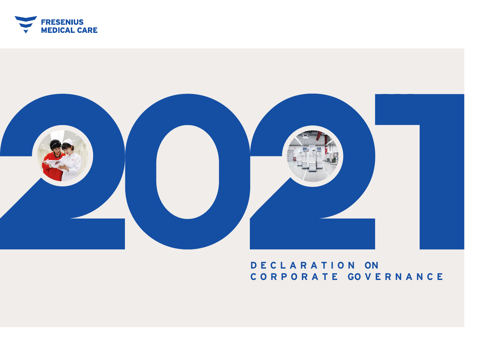



# **D E C L A R A T I O N ON C O R P O R A T E GO V E R N A N C E**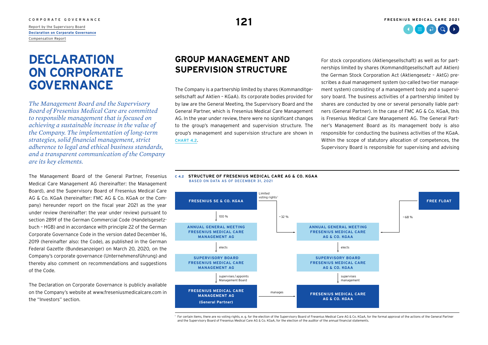<span id="page-1-0"></span>[Report by the Supervisory Board](#page--1-0) **Declaration on Corporate Governance** [Compensation Report](#page--1-0)

# **DECLARATION ON CORPORATE GOVERNANCE**

*The Management Board and the Supervisory Board of Fresenius Medical Care are committed to responsible management that is focused on achieving a sustainable increase in the value of the Company. The implementation of long-term strategies, solid financial management, strict adherence to legal and ethical business standards, and a transparent communication of the Company are its key elements.*

The Management Board of the General Partner, Fresenius Medical Care Management AG (hereinafter: the Management Board), and the Supervisory Board of Fresenius Medical Care AG & Co. KGaA (hereinafter: FMC AG & Co. KGaA or the Company) hereunder report on the fiscal year 2021 as the year under review (hereinafter: the year under review) pursuant to section 289f of the German Commercial Code (Handelsgesetzbuch – HGB) and in accordance with principle 22 of the German Corporate Governance Code in the version dated December 16, 2019 (hereinafter also: the Code), as published in the German Federal Gazette (Bundesanzeiger) on March 20, 2020, on the Company's corporate governance (Unternehmensführung) and thereby also comment on recommendations and suggestions of the Code.

The Declaration on Corporate Governance is publicly available on the Company's website a[t www.freseniusmedicalcare.com i](https://www.freseniusmedicalcare.com/)n the "Investors" section.

# **GROUP MANAGEMENT AND SUPERVISION STRUCTURE**

The Company is a partnership limited by shares (Kommanditgesellschaft auf Aktien – KGaA). Its corporate bodies provided for by law are the General Meeting, the Supervisory Board and the General Partner, which is Fresenius Medical Care Management AG. In the year under review, there were no significant changes to the group's management and supervision structure. The group's management and supervision structure are shown in CHART 4.2.

For stock corporations (Aktiengesellschaft) as well as for partnerships limited by shares (Kommanditgesellschaft auf Aktien) the German Stock Corporation Act (Aktiengesetz – AktG) prescribes a dual management system (so-called two-tier management system) consisting of a management body and a supervisory board. The business activities of a partnership limited by shares are conducted by one or several personally liable partners (General Partner). In the case of FMC AG & Co. KGaA, this is Fresenius Medical Care Management AG. The General Partner's Management Board as its management body is also responsible for conducting the business activities of the KGaA. Within the scope of statutory allocation of competences, the Supervisory Board is responsible for supervising and advising

#### **C 4.2 STRUCTURE OF FRESENIUS MEDICAL CARE AG & CO. KGAA** bASED ON DATA AS OF DECEMbER 31, 2021



1 For certain items, there are no voting rights, e. g. for the election of the Supervisory Board of Fresenius Medical Care AG & Co. KGaA, for the formal approval of the actions of the General Partner and the Supervisory Board of Fresenius Medical Care AG & Co. KGaA, for the election of the auditor of the annual financial statements.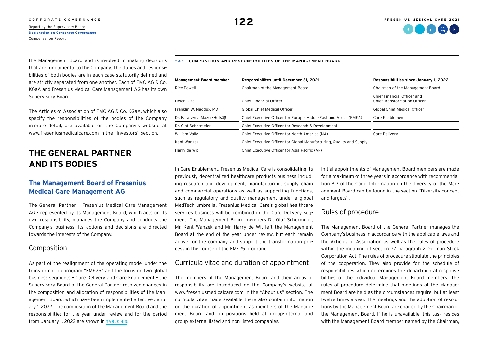#### [CORPORATE GOVERNANCE](#page--1-0) **FRESENIUS MEDICAL CARE 2021**

#### [Report by the Supervisory Board](#page--1-0) **[Declaration on Corporate Governance](#page-1-0)** [Compensation Report](#page--1-0)

#### **T 4.3 COMPOSITION AND RESPONSIBILITIES OF THE MANAGEMENT BOARD**

the Management Board and is involved in making decisions that are fundamental to the Company. The duties and responsibilities of both bodies are in each case statutorily defined and are strictly separated from one another. Each of FMC AG & Co. KGaA and Fresenius Medical Care Management AG has its own Supervisory Board.

The Articles of Association of FMC AG & Co. KGaA, which also specify the responsibilities of the bodies of the Company in more detail, are available on the Company's website at [www.freseniusmedicalcare.com i](https://www.freseniusmedicalcare.com/)n the "Investors" section.

# **THE GENERAL PARTNER AND ITS BODIES**

## **The Management Board of Fresenius Medical Care Management AG**

The General Partner – Fresenius Medical Care Management AG – represented by its Management Board, which acts on its own responsibility, manages the Company and conducts the Company's business. Its actions and decisions are directed towards the interests of the Company.

## Composition

As part of the realignment of the operating model under the transformation program "FME25" and the focus on two global business segments – Care Delivery and Care Enablement – the Supervisory Board of the General Partner resolved changes in the composition and allocation of responsibilities of the Management Board, which have been implemented effective January 1, 2022. The composition of the Management Board and the responsibilities for the year under review and for the period from January 1, 2022 are shown in TABLE 4.3.

| <b>Management Board member</b><br>Responsibilites until December 31, 2021 |                                                                      | Responsibilities since January 1, 2022                             |  |
|---------------------------------------------------------------------------|----------------------------------------------------------------------|--------------------------------------------------------------------|--|
| <b>Rice Powell</b>                                                        | Chairman of the Management Board                                     | Chairman of the Management Board                                   |  |
| Helen Giza                                                                | Chief Financial Officer                                              | Chief Financial Officer and<br><b>Chief Transformation Officer</b> |  |
| Franklin W. Maddux, MD                                                    | <b>Global Chief Medical Officer</b>                                  | <b>Global Chief Medical Officer</b>                                |  |
| Dr. Katarzyna Mazur-Hofsäß                                                | Chief Executive Officer for Europe, Middle East and Africa (EMEA)    | Care Enablement                                                    |  |
| Dr. Olaf Schermeier                                                       | Chief Executive Officer for Research & Development                   |                                                                    |  |
| William Valle                                                             | Chief Executive Officer for North America (NA)                       | Care Delivery                                                      |  |
| Kent Wanzek                                                               | Chief Executive Officer for Global Manufacturing, Quality and Supply |                                                                    |  |
| Harry de Wit                                                              | Chief Executive Officer for Asia-Pacific (AP)                        |                                                                    |  |

In Care Enablement, Fresenius Medical Care is consolidating its previously decentralized healthcare products business including research and development, manufacturing, supply chain and commercial operations as well as supporting functions, such as regulatory and quality management under a global MedTech umbrella. Fresenius Medical Care's global healthcare services business will be combined in the Care Delivery segment. The Management Board members Dr. Olaf Schermeier, Mr. Kent Wanzek and Mr. Harry de Wit left the Management Board at the end of the year under review, but each remain active for the company and support the transformation process in the course of the FME25 program.

### Curricula vitae and duration of appointment

The members of the Management Board and their areas of responsibility are introduced on the Company's website at [www.freseniusmedicalcare.com](https://www.freseniusmedicalcare.com/) in the "About us" section. The curricula vitae made available there also contain information on the duration of appointment as members of the Management Board and on positions held at group-internal and group-external listed and non-listed companies.

Initial appointments of Management Board members are made for a maximum of three years in accordance with recommendation B.3 of the Code. Information on the diversity of the Management Board can be found in the section "Diversity concept and targets".

### Rules of procedure

The Management Board of the General Partner manages the Company's business in accordance with the applicable laws and the Articles of Association as well as the rules of procedure within the meaning of section 77 paragraph 2 German Stock Corporation Act. The rules of procedure stipulate the principles of the cooperation. They also provide for the schedule of responsibilities which determines the departmental responsibilities of the individual Management Board members. The rules of procedure determine that meetings of the Management Board are held as the circumstances require, but at least twelve times a year. The meetings and the adoption of resolutions by the Management Board are chaired by the Chairman of the Management Board. If he is unavailable, this task resides with the Management Board member named by the Chairman,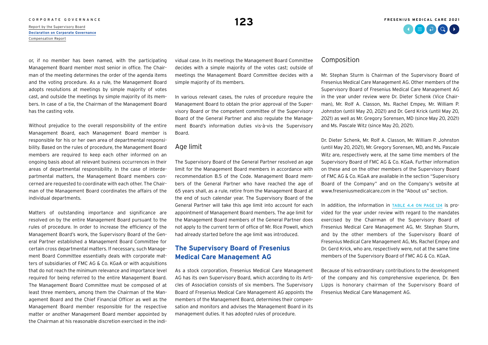# C O R P O R A T E G O V E R N A N C E **123**<br>[Report by the Supervisory Board](#page--1-0) **123**

**[Declaration on Corporate Governance](#page-1-0)** [Compensation Report](#page--1-0)

or, if no member has been named, with the participating Management Board member most senior in office. The Chairman of the meeting determines the order of the agenda items and the voting procedure. As a rule, the Management Board adopts resolutions at meetings by simple majority of votes cast, and outside the meetings by simple majority of its members. In case of a tie, the Chairman of the Management Board has the casting vote.

Without prejudice to the overall responsibility of the entire Management Board, each Management Board member is responsible for his or her own area of departmental responsibility. Based on the rules of procedure, the Management Board members are required to keep each other informed on an ongoing basis about all relevant business occurrences in their areas of departmental responsibility. In the case of interdepartmental matters, the Management Board members concerned are requested to coordinate with each other. The Chairman of the Management Board coordinates the affairs of the individual departments.

Matters of outstanding importance and significance are resolved on by the entire Management Board pursuant to the rules of procedure. In order to increase the efficiency of the Management Board's work, the Supervisory Board of the General Partner established a Management Board Committee for certain cross departmental matters. If necessary, such Management Board Committee essentially deals with corporate matters of subsidiaries of FMC AG & Co. KGaA or with acquisitions that do not reach the minimum relevance and importance level required for being referred to the entire Management Board. The Management Board Committee must be composed of at least three members, among them the Chairman of the Management Board and the Chief Financial Officer as well as the Management Board member responsible for the respective matter or another Management Board member appointed by the Chairman at his reasonable discretion exercised in the individual case. In its meetings the Management Board Committee decides with a simple majority of the votes cast; outside of meetings the Management Board Committee decides with a simple majority of its members.

In various relevant cases, the rules of procedure require the Management Board to obtain the prior approval of the Supervisory Board or the competent committee of the Supervisory Board of the General Partner and also regulate the Management Board's information duties vis-à-vis the Supervisory Board.

### Age limit

The Supervisory Board of the General Partner resolved an age limit for the Management Board members in accordance with recommendation B.5 of the Code. Management Board members of the General Partner who have reached the age of 65 years shall, as a rule, retire from the Management Board at the end of such calendar year. The Supervisory Board of the General Partner will take this age limit into account for each appointment of Management Board members. The age limit for the Management Board members of the General Partner does not apply to the current term of office of Mr. Rice Powell, which had already started before the age limit was introduced.

## **The Supervisory Board of Fresenius Medical Care Management AG**

As a stock corporation, Fresenius Medical Care Management AG has its own Supervisory Board, which according to its Articles of Association consists of six members. The Supervisory Board of Fresenius Medical Care Management AG appoints the members of the Management Board, determines their compensation and monitors and advises the Management Board in its management duties. It has adopted rules of procedure.

### Composition

Mr. Stephan Sturm is Chairman of the Supervisory Board of Fresenius Medical Care Management AG. Other members of the Supervisory Board of Fresenius Medical Care Management AG in the year under review were Dr. Dieter Schenk (Vice Chairman), Mr. Rolf A. Classon, Ms. Rachel Empey, Mr. William P. Johnston (until May 20, 2021) and Dr. Gerd Krick (until May 20, 2021) as well as Mr. Gregory Sorensen, MD (since May 20, 2021) and Ms. Pascale Witz (since May 20, 2021).

Dr. Dieter Schenk, Mr. Rolf A. Classon, Mr. William P. Johnston (until May 20, 2021), Mr. Gregory Sorensen, MD, and Ms. Pascale Witz are, respectively were, at the same time members of the Supervisory Board of FMC AG & Co. KGaA. Further information on these and on the other members of the Supervisory Board of FMC AG & Co. KGaA are available in the section "Supervisory Board of the Company" and on the Company's website at [www.freseniusmedicalcare.com](https://www.freseniusmedicalcare.com/) in the "About us" section.

In addition, the information in TABLE 4.4 ON PAGE 124 is provided for the year under review with regard to the mandates exercised by the Chairman of the Supervisory Board of Fresenius Medical Care Management AG, Mr. Stephan Sturm, and by the other members of the Supervisory Board of Fresenius Medical Care Management AG, Ms. Rachel Empey and Dr. Gerd Krick, who are, respectively were, not at the same time members of the Supervisory Board of FMC AG & Co. KGaA.

Because of his extraordinary contributions to the development of the company and his comprehensive experience, Dr. Ben Lipps is honorary chairman of the Supervisory Board of Fresenius Medical Care Management AG.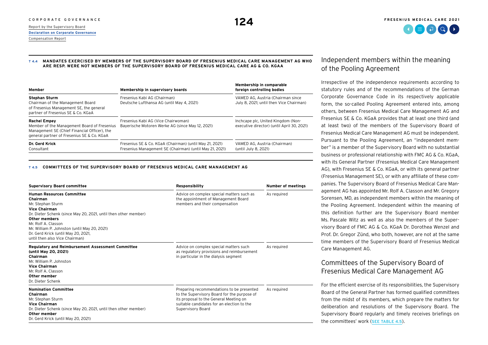#### <span id="page-4-0"></span>**T 4.4 MANDATES EXERCISED BY MEMBERS OF THE SUPERVISORY BOARD OF FRESENIUS MEDICAL CARE MANAGEMENT AG WHO ARE RESP. WERE NOT MEMBERS OF THE SUPERVISORY BOARD OF FRESENIUS MEDICAL CARE AG & CO. KGAA**

| Member                                                                                                                                                           | Membership in supervisory boards                                                                                   | Membership in comparable<br>foreign controlling bodies                           |  |
|------------------------------------------------------------------------------------------------------------------------------------------------------------------|--------------------------------------------------------------------------------------------------------------------|----------------------------------------------------------------------------------|--|
| <b>Stephan Sturm</b><br>Chairman of the Management Board<br>of Fresenius Management SE, the general<br>partner of Fresenius SE & Co. KGaA                        | Fresenius Kabi AG (Chairman)<br>Deutsche Lufthansa AG (until May 4, 2021)                                          | VAMED AG, Austria (Chairman since<br>July 8, 2021; until then Vice Chairman)     |  |
| <b>Rachel Empey</b><br>Member of the Management Board of Fresenius<br>Management SE (Chief Financial Officer), the<br>general partner of Fresenius SE & Co. KGaA | Fresenius Kabi AG (Vice Chairwoman)<br>Bayerische Motoren Werke AG (since May 12, 2021)                            | Inchcape plc, United Kingdom (Non-<br>executive director) (until April 30, 2021) |  |
| Dr. Gerd Krick<br>Consultant                                                                                                                                     | Fresenius SE & Co. KGaA (Chairman) (until May 21, 2021)<br>Fresenius Management SE (Chairman) (until May 21, 2021) | VAMED AG, Austria (Chairman)<br>(until July 8, 2021)                             |  |

#### **T 4.5 COMMITTEES OF THE SUPERVISORY BOARD OF FRESENIUS MEDICAL CARE MANAGEMENT AG**

| <b>Supervisory Board committee</b>                                                                                                                                                                                                                                                                                                   | Responsibility                                                                                                                                                                                        | <b>Number of meetings</b> |
|--------------------------------------------------------------------------------------------------------------------------------------------------------------------------------------------------------------------------------------------------------------------------------------------------------------------------------------|-------------------------------------------------------------------------------------------------------------------------------------------------------------------------------------------------------|---------------------------|
| <b>Human Resources Committee</b><br>Chairman<br>Mr. Stephan Sturm<br><b>Vice Chairman</b><br>Dr. Dieter Schenk (since May 20, 2021, until then other member)<br><b>Other members</b><br>Mr. Rolf A. Classon<br>Mr. William P. Johnston (until May 20, 2021)<br>Dr. Gerd Krick (until May 20, 2021,<br>until then also Vice Chairman) | Advice on complex special matters such as<br>the appointment of Management Board<br>members and their compensation                                                                                    | As required               |
| <b>Regulatory and Reimbursement Assessment Committee</b><br>(until May 20, 2021)<br>Chairman<br>Mr. William P. Johnston<br><b>Vice Chairman</b><br>Mr. Rolf A. Classon<br>Other member<br>Dr. Dieter Schenk                                                                                                                          | Advice on complex special matters such<br>as regulatory provisions and reimbursement<br>in particular in the dialysis segment                                                                         | As required               |
| <b>Nomination Committee</b><br>Chairman<br>Mr. Stephan Sturm<br><b>Vice Chairman</b><br>Dr. Dieter Schenk (since May 20, 2021, until then other member)<br>Other member<br>Dr. Gerd Krick (until May 20, 2021)                                                                                                                       | Preparing recommendations to be presented<br>to the Supervisory Board for the purpose of<br>its proposal to the General Meeting on<br>suitable candidates for an election to the<br>Supervisory Board | As required               |

## Independent members within the meaning of the Pooling Agreement

Irrespective of the independence requirements according to statutory rules and of the recommendations of the German Corporate Governance Code in its respectively applicable form, the so-called Pooling Agreement entered into, among others, between Fresenius Medical Care Management AG and Fresenius SE & Co. KGaA provides that at least one third (and at least two) of the members of the Supervisory Board of Fresenius Medical Care Management AG must be independent. Pursuant to the Pooling Agreement, an "independent member" is a member of the Supervisory Board with no substantial business or professional relationship with FMC AG & Co. KGaA, with its General Partner (Fresenius Medical Care Management AG), with Fresenius SE & Co. KGaA, or with its general partner (Fresenius Management SE), or with any affiliate of these companies. The Supervisory Board of Fresenius Medical Care Management AG has appointed Mr. Rolf A. Classon and Mr. Gregory Sorensen, MD, as independent members within the meaning of the Pooling Agreement. Independent within the meaning of this definition further are the Supervisory Board member Ms. Pascale Witz as well as also the members of the Supervisory Board of FMC AG & Co. KGaA Dr. Dorothea Wenzel and Prof. Dr. Gregor Zünd, who both, however, are not at the same time members of the Supervisory Board of Fresenius Medical Care Management AG.

## Committees of the Supervisory Board of Fresenius Medical Care Management AG

For the efficient exercise of its responsibilities, the Supervisory Board of the General Partner has formed qualified committees from the midst of its members, which prepare the matters for deliberation and resolutions of the Supervisory Board. The Supervisory Board regularly and timely receives briefings on the committees' work (SEE TABLE 4.5).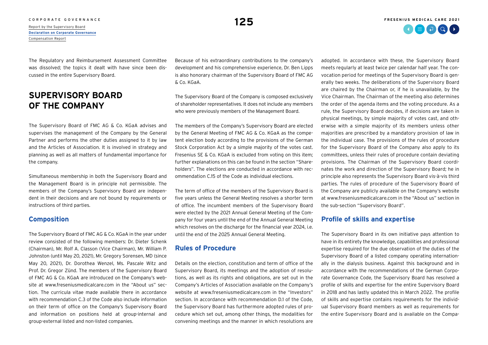# C O R P O R A T E G O V E R N A N C E **125 °C O R P O REPORT OF SUPERVISOR**<br>[Report by the Supervisory Board](#page--1-0) **125 °C O Report of Supervisory Board**

**[Declaration on Corporate Governance](#page-1-0)** [Compensation Report](#page--1-0)

The Regulatory and Reimbursement Assessment Committee was dissolved; the topics it dealt with have since been discussed in the entire Supervisory Board.

# **SUPERVISORY BOARD OF THE COMPANY**

The Supervisory Board of FMC AG & Co. KGaA advises and supervises the management of the Company by the General Partner and performs the other duties assigned to it by law and the Articles of Association. It is involved in strategy and planning as well as all matters of fundamental importance for the company.

Simultaneous membership in both the Supervisory Board and the Management Board is in principle not permissible. The members of the Company's Supervisory Board are independent in their decisions and are not bound by requirements or instructions of third parties.

#### **Composition**

The Supervisory Board of FMC AG & Co. KGaA in the year under review consisted of the following members: Dr. Dieter Schenk (Chairman), Mr. Rolf A. Classon (Vice Chairman), Mr. William P. Johnston (until May 20, 2021), Mr. Gregory Sorensen, MD (since May 20, 2021), Dr. Dorothea Wenzel, Ms. Pascale Witz and Prof. Dr. Gregor Zünd. The members of the Supervisory Board of FMC AG & Co. KGaA are introduced on the Company's website a[t www.freseniusmedicalcare.com i](https://www.freseniusmedicalcare.com/)n the "About us" section. The curricula vitae made available there in accordance with recommendation C.3 of the Code also include information on their term of office on the Company's Supervisory Board and information on positions held at group-internal and group-external listed and non-listed companies.

Because of his extraordinary contributions to the company's development and his comprehensive experience, Dr. Ben Lipps is also honorary chairman of the Supervisory Board of FMC AG & Co. KGaA.

The Supervisory Board of the Company is composed exclusively of shareholder representatives. It does not include any members who were previously members of the Management Board.

The members of the Company's Supervisory Board are elected by the General Meeting of FMC AG & Co. KGaA as the competent election body according to the provisions of the German Stock Corporation Act by a simple majority of the votes cast. Fresenius SE & Co. KGaA is excluded from voting on this item; further explanations on this can be found in the section "Shareholders". The elections are conducted in accordance with recommendation C.15 of the Code as individual elections.

The term of office of the members of the Supervisory Board is five years unless the General Meeting resolves a shorter term of office. The incumbent members of the Supervisory Board were elected by the 2021 Annual General Meeting of the Company for four years until the end of the Annual General Meeting which resolves on the discharge for the financial year 2024, i.e. until the end of the 2025 Annual General Meeting.

### **Rules of Procedure**

Details on the election, constitution and term of office of the Supervisory Board, its meetings and the adoption of resolutions, as well as its rights and obligations, are set out in the Company's Articles of Association available on the Company's website at [www.freseniusmedicalcare.com](https://www.freseniusmedicalcare.com/) in the "Investors" section. In accordance with recommendation D.1 of the Code, the Supervisory Board has furthermore adopted rules of procedure which set out, among other things, the modalities for convening meetings and the manner in which resolutions are adopted. In accordance with these, the Supervisory Board meets regularly at least twice per calendar half year. The convocation period for meetings of the Supervisory Board is generally two weeks. The deliberations of the Supervisory Board are chaired by the Chairman or, if he is unavailable, by the Vice Chairman. The Chairman of the meeting also determines the order of the agenda items and the voting procedure. As a rule, the Supervisory Board decides, if decisions are taken in physical meetings, by simple majority of votes cast, and otherwise with a simple majority of its members unless other majorities are prescribed by a mandatory provision of law in the individual case. The provisions of the rules of procedure for the Supervisory Board of the Company also apply to its committees, unless their rules of procedure contain deviating provisions. The Chairman of the Supervisory Board coordinates the work and direction of the Supervisory Board; he in principle also represents the Supervisory Board vis-à-vis third parties. The rules of procedure of the Supervisory Board of the Company are publicly available on the Company's website a[t www.freseniusmedicalcare.com](https://www.freseniusmedicalcare.com/) in the "About us" section in the sub-section "Supervisory Board".

#### **Profile of skills and expertise**

The Supervisory Board in its own initiative pays attention to have in its entirety the knowledge, capabilities and professional expertise required for the due observation of the duties of the Supervisory Board of a listed company operating internationally in the dialysis business. Against this background and in accordance with the recommendations of the German Corporate Governance Code, the Supervisory Board has resolved a profile of skills and expertise for the entire Supervisory Board in 2018 and has lastly updated this in March 2022. The profile of skills and expertise contains requirements for the individual Supervisory Board members as well as requirements for the entire Supervisory Board and is available on the Compa-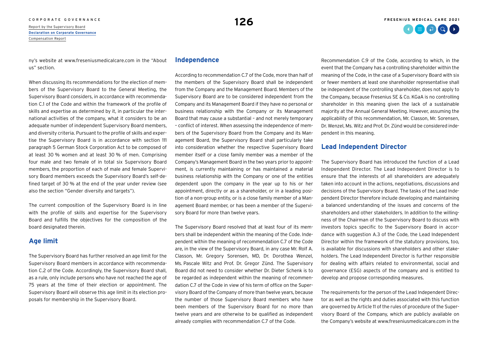C O R P O R A T E G O V E R N A N C E **126 A [Report by the Supervisory Board](#page--1-0) 126 A** Report by the Supervisory Board **[Declaration on Corporate Governance](#page-1-0)** [Compensation Report](#page--1-0)

ny's website at [www.freseniusmedicalcare.com](https://www.freseniusmedicalcare.com/) in the "About us" section.

When discussing its recommendations for the election of members of the Supervisory Board to the General Meeting, the Supervisory Board considers, in accordance with recommendation C.1 of the Code and within the framework of the profile of skills and expertise as determined by it, in particular the international activities of the company, what it considers to be an adequate number of independent Supervisory Board members, and diversity criteria. Pursuant to the profile of skills and expertise the Supervisory Board is in accordance with section 111 paragraph 5 German Stock Corporation Act to be composed of at least 30 % women and at least 30 % of men. Comprising four male and two female of in total six Supervisory Board members, the proportion of each of male and female Supervisory Board members exceeds the Supervisory Board's self-defined target of 30 % at the end of the year under review (see also the section "Gender diversity and targets").

The current composition of the Supervisory Board is in line with the profile of skills and expertise for the Supervisory Board and fulfills the objectives for the composition of the board designated therein.

## **Age limit**

The Supervisory Board has further resolved an age limit for the Supervisory Board members in accordance with recommendation C.2 of the Code. Accordingly, the Supervisory Board shall, as a rule, only include persons who have not reached the age of 75 years at the time of their election or appointment. The Supervisory Board will observe this age limit in its election proposals for membership in the Supervisory Board.

#### **Independence**

According to recommendation C.7 of the Code, more than half of the members of the Supervisory Board shall be independent from the Company and the Management Board. Members of the Supervisory Board are to be considered independent from the Company and its Management Board if they have no personal or business relationship with the Company or its Management Board that may cause a substantial – and not merely temporary – conflict of interest. When assessing the independence of members of the Supervisory Board from the Company and its Management Board, the Supervisory Board shall particularly take into consideration whether the respective Supervisory Board member itself or a close family member was a member of the Company's Management Board in the two years prior to appointment, is currently maintaining or has maintained a material business relationship with the Company or one of the entities dependent upon the company in the year up to his or her appointment, directly or as a shareholder, or in a leading position of a non-group entity, or is a close family member of a Management Board member, or has been a member of the Supervisory Board for more than twelve years.

The Supervisory Board resolved that at least four of its members shall be independent within the meaning of the Code. Independent within the meaning of recommendation C.7 of the Code are, in the view of the Supervisory Board, in any case Mr. Rolf A. Classon, Mr. Gregory Sorensen, MD, Dr. Dorothea Wenzel, Ms. Pascale Witz and Prof. Dr. Gregor Zünd. The Supervisory Board did not need to consider whether Dr. Dieter Schenk is to be regarded as independent within the meaning of recommendation C.7 of the Code in view of his term of office on the Supervisory Board of the Company of more than twelve years, because the number of those Supervisory Board members who have been members of the Supervisory Board for no more than twelve years and are otherwise to be qualified as independent already complies with recommendation C.7 of the Code.

Recommendation C.9 of the Code, according to which, in the event that the Company has a controlling shareholder within the meaning of the Code, in the case of a Supervisory Board with six or fewer members at least one shareholder representative shall be independent of the controlling shareholder, does not apply to the Company, because Fresenius SE & Co. KGaA is no controlling shareholder in this meaning given the lack of a sustainable majority at the Annual General Meeting. However, assuming the applicability of this recommendation, Mr. Classon, Mr. Sorensen, Dr. Wenzel, Ms. Witz and Prof. Dr. Zünd would be considered independent in this meaning.

#### **Lead Independent Director**

The Supervisory Board has introduced the function of a Lead Independent Director. The Lead Independent Director is to ensure that the interests of all shareholders are adequately taken into account in the actions, negotiations, discussions and decisions of the Supervisory Board. The tasks of the Lead Independent Director therefore include developing and maintaining a balanced understanding of the issues and concerns of the shareholders and other stakeholders. In addition to the willingness of the Chairman of the Supervisory Board to discuss with investors topics specific to the Supervisory Board in accordance with suggestion A.3 of the Code, the Lead Independent Director within the framework of the statutory provisions, too, is available for discussions with shareholders and other stakeholders. The Lead Independent Director is further responsible for dealing with affairs related to environmental, social and governance (ESG) aspects of the company and is entitled to develop and propose corresponding measures.

The requirements for the person of the Lead Independent Director as well as the rights and duties associated with this function are governed by Article 11 of the rules of procedure of the Supervisory Board of the Company, which are publicly available on the Company's website [at www.freseniusmedicalcare.com](https://www.freseniusmedicalcare.com/) in the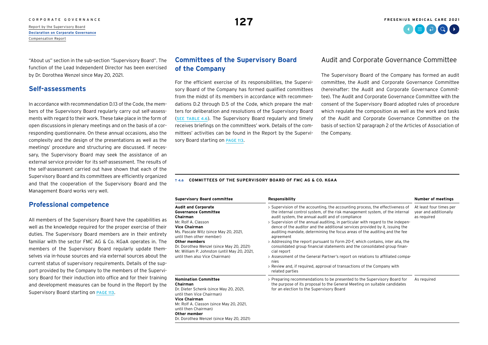#### [CORPORATE GOVERNANCE](#page--1-0) **FRESENIUS MEDICAL CARE 2021**

[Report by the Supervisory Board](#page--1-0) **[Declaration on Corporate Governance](#page-1-0)** [Compensation Report](#page--1-0)

**127**

"About us" section in the sub-section "Supervisory Board". The function of the Lead Independent Director has been exercised by Dr. Dorothea Wenzel since May 20, 2021.

## **Self-assessments**

In accordance with recommendation D.13 of the Code, the members of the Supervisory Board regularly carry out self-assessments with regard to their work. These take place in the form of open discussions in plenary meetings and on the basis of a corresponding questionnaire. On these annual occasions, also the complexity and the design of the presentations as well as the meetings' procedure and structuring are discussed. If necessary, the Supervisory Board may seek the assistance of an external service provider for its self-assessment. The results of the self-assessment carried out have shown that each of the Supervisory Board and its committees are efficiently organized and that the cooperation of the Supervisory Board and the Management Board works very well.

#### **Professional competence**

All members of the Supervisory Board have the capabilities as well as the knowledge required for the proper exercise of their duties. The Supervisory Board members are in their entirety familiar with the sector FMC AG & Co. KGaA operates in. The members of the Supervisory Board regularly update themselves via in-house sources and via external sources about the current status of supervisory requirements. Details of the support provided by the Company to the members of the Supervisory Board for their induction into office and for their training and development measures can be found in the Report by the Supervisory Board starting on [PAGE 113](#page--1-0).

## **Committees of the Supervisory Board of the Company**

For the efficient exercise of its responsibilities, the Supervisory Board of the Company has formed qualified committees from the midst of its members in accordance with recommendations D.2 through D.5 of the Code, which prepare the matters for deliberation and resolutions of the Supervisory Board (SEE TABLE 4.6). The Supervisory Board regularly and timely receives briefings on the committees' work. Details of the committees' activities can be found in the Report by the Supervisory Board starting on [PAGE 113](#page--1-0).

## Audit and Corporate Governance Committee

The Supervisory Board of the Company has formed an audit committee, the Audit and Corporate Governance Committee (hereinafter: the Audit and Corporate Governance Committee). The Audit and Corporate Governance Committee with the consent of the Supervisory Board adopted rules of procedure which regulate the composition as well as the work and tasks of the Audit and Corporate Governance Committee on the basis of section 12 paragraph 2 of the Articles of Association of the Company.

#### **T 4.6 COMMITTEES OF THE SUPERVISORY BOARD OF FMC AG & CO. KGAA**

| <b>Supervisory Board committee</b>                                                                                                                                                                                                                                                                                                              | Responsibility                                                                                                                                                                                                                                                                                                                                                                                                                                                                                                                                                                                                                                                                                                                                                                                                                                      | <b>Number of meetings</b>                                       |
|-------------------------------------------------------------------------------------------------------------------------------------------------------------------------------------------------------------------------------------------------------------------------------------------------------------------------------------------------|-----------------------------------------------------------------------------------------------------------------------------------------------------------------------------------------------------------------------------------------------------------------------------------------------------------------------------------------------------------------------------------------------------------------------------------------------------------------------------------------------------------------------------------------------------------------------------------------------------------------------------------------------------------------------------------------------------------------------------------------------------------------------------------------------------------------------------------------------------|-----------------------------------------------------------------|
| <b>Audit and Corporate</b><br><b>Governance Committee</b><br>Chairman<br>Mr. Rolf A. Classon<br><b>Vice Chairman</b><br>Ms. Pascale Witz (since May 20, 2021,<br>until then other member)<br><b>Other members</b><br>Dr. Dorothea Wenzel (since May 20, 2021)<br>Mr. William P. Johnston (until May 20, 2021,<br>until then also Vice Chairman) | > Supervision of the accounting, the accounting process, the effectiveness of<br>the internal control system, of the risk management system, of the internal<br>audit system, the annual audit and of compliance<br>> Supervision of the annual auditing, in particular with regard to the indepen-<br>dence of the auditor and the additional services provided by it, issuing the<br>auditing mandate, determining the focus areas of the auditing and the fee<br>agreement<br>> Addressing the report pursuant to Form 20-F, which contains, inter alia, the<br>consolidated group financial statements and the consolidated group finan-<br>cial report<br>> Assessment of the General Partner's report on relations to affiliated compa-<br>nies<br>> Review and, if required, approval of transactions of the Company with<br>related parties | At least four times per<br>year and additionally<br>as required |
| <b>Nomination Committee</b><br>Chairman<br>Dr. Dieter Schenk (since May 20, 2021,<br>until then Vice Chairman)<br><b>Vice Chairman</b><br>Mr. Rolf A. Classon (since May 20, 2021,<br>until then Chairman)<br>Other member<br>Dr. Dorothea Wenzel (since May 20, 2021)                                                                          | > Preparing recommendations to be presented to the Supervisory Board for<br>the purpose of its proposal to the General Meeting on suitable candidates<br>for an election to the Supervisory Board                                                                                                                                                                                                                                                                                                                                                                                                                                                                                                                                                                                                                                                   | As required                                                     |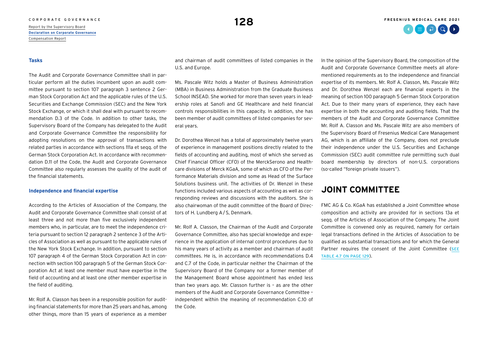# C O R P O R A T E G O V E R N A N C E **128**<br>[Report by the Supervisory Board](#page--1-0) **128**

**[Declaration on Corporate Governance](#page-1-0)** [Compensation Report](#page--1-0)

#### **Tasks**

The Audit and Corporate Governance Committee shall in particular perform all the duties incumbent upon an audit committee pursuant to section 107 paragraph 3 sentence 2 German Stock Corporation Act and the applicable rules of the U.S. Securities and Exchange Commission (SEC) and the New York Stock Exchange, or which it shall deal with pursuant to recommendation D.3 of the Code. In addition to other tasks, the Supervisory Board of the Company has delegated to the Audit and Corporate Governance Committee the responsibility for adopting resolutions on the approval of transactions with related parties in accordance with sections 111a et seqq. of the German Stock Corporation Act. In accordance with recommendation D.11 of the Code, the Audit and Corporate Governance Committee also regularly assesses the quality of the audit of the financial statements.

#### **Independence and financial expertise**

According to the Articles of Association of the Company, the Audit and Corporate Governance Committee shall consist of at least three and not more than five exclusively independent members who, in particular, are to meet the independence criteria pursuant to section 12 paragraph 2 sentence 3 of the Articles of Association as well as pursuant to the applicable rules of the New York Stock Exchange. In addition, pursuant to section 107 paragraph 4 of the German Stock Corporation Act in connection with section 100 paragraph 5 of the German Stock Corporation Act at least one member must have expertise in the field of accounting and at least one other member expertise in the field of auditing.

Mr. Rolf A. Classon has been in a responsible position for auditing financial statements for more than 25 years and has, among other things, more than 15 years of experience as a member

and chairman of audit committees of listed companies in the U.S. and Europe.

Ms. Pascale Witz holds a Master of Business Administration (MBA) in Business Administration from the Graduate Business School INSEAD. She worked for more than seven years in leadership roles at Sanofi and GE Healthcare and held financial controls responsibilities in this capacity. In addition, she has been member of audit committees of listed companies for several years.

Dr. Dorothea Wenzel has a total of approximately twelve years of experience in management positions directly related to the fields of accounting and auditing, most of which she served as Chief Financial Officer (CFO) of the MerckSerono and Healthcare divisions of Merck KGaA, some of which as CFO of the Performance Materials division and some as Head of the Surface Solutions business unit. The activities of Dr. Wenzel in these functions included various aspects of accounting as well as corresponding reviews and discussions with the auditors. She is also chairwoman of the audit committee of the Board of Directors of H. Lundberg A/S, Denmark.

Mr. Rolf A. Classon, the Chairman of the Audit and Corporate Governance Committee, also has special knowledge and experience in the application of internal control procedures due to his many years of activity as a member and chairman of audit committees. He is, in accordance with recommendations D.4 and C.7 of the Code, in particular neither the Chairman of the Supervisory Board of the Company nor a former member of the Management Board whose appointment has ended less than two years ago. Mr. Classon further is – as are the other members of the Audit and Corporate Governance Committee – independent within the meaning of recommendation C.10 of the Code.

In the opinion of the Supervisory Board, the composition of the Audit and Corporate Governance Committee meets all aforementioned requirements as to the independence and financial expertise of its members. Mr. Rolf A. Classon, Ms. Pascale Witz and Dr. Dorothea Wenzel each are financial experts in the meaning of section 100 paragraph 5 German Stock Corporation Act. Due to their many years of experience, they each have expertise in both the accounting and auditing fields. That the members of the Audit and Corporate Governance Committee Mr. Rolf A. Classon and Ms. Pascale Witz are also members of the Supervisory Board of Fresenius Medical Care Management AG, which is an affiliate of the Company, does not preclude their independence under the U.S. Securities and Exchange Commission (SEC) audit committee rule permitting such dual board membership by directors of non-U.S. corporations (so-called "foreign private issuers").

## **JOINT COMMITTEE**

FMC AG & Co. KGaA has established a Joint Committee whose composition and activity are provided for in sections 13a et seqq. of the Articles of Association of the Company. The Joint Committee is convened only as required, namely for certain legal transactions defined in the Articles of Association to be qualified as substantial transactions and for which the General Partner requires the consent of the Joint Committee ([SEE](#page-9-0) [TAblE 4.7 ON](#page-9-0) PAGE 129).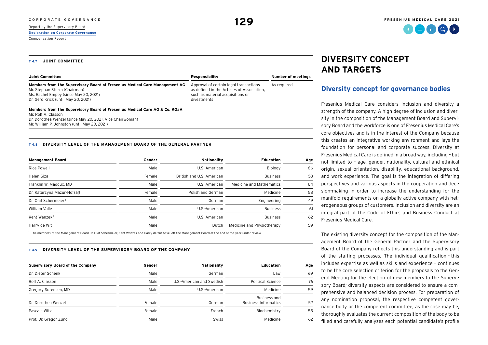## <span id="page-9-0"></span>**[Declaration on Corporate Governance](#page-1-0)** [Compensation Report](#page--1-0)

# **DIVERSITY CONCEPT AND TARGETS**

## **Diversity concept for governance bodies**

Fresenius Medical Care considers inclusion and diversity a strength of the company. A high degree of inclusion and diversity in the composition of the Management Board and Supervisory Board and the workforce is one of Fresenius Medical Care's core objectives and is in the interest of the Company because this creates an integrative working environment and lays the foundation for personal and corporate success. Diversity at Fresenius Medical Care is defined in a broad way, including – but not limited to – age, gender, nationality, cultural and ethnical origin, sexual orientation, disability, educational background, and work experience. The goal is the integration of differing perspectives and various aspects in the cooperation and decision-making in order to increase the understanding for the manifold requirements on a globally active company with heterogeneous groups of customers. Inclusion and diversity are an integral part of the Code of Ethics and Business Conduct at Fresenius Medical Care.

The existing diversity concept for the composition of the Management Board of the General Partner and the Supervisory Board of the Company reflects this understanding and is part of the staffing processes. The individual qualification – this includes expertise as well as skills and experience – continues to be the core selection criterion for the proposals to the General Meeting for the election of new members to the Supervisory Board; diversity aspects are considered to ensure a comprehensive and balanced decision process. For preparation of any nomination proposal, the respective competent governance body or the competent committee, as the case may be, thoroughly evaluates the current composition of the body to be filled and carefully analyzes each potential candidate's profile

#### **T 4.7 JOINT COMMITTEE**

| Joint Committee                                                            | Responsibility                             | Number of meetings |
|----------------------------------------------------------------------------|--------------------------------------------|--------------------|
| Members from the Supervisory Board of Fresenius Medical Care Management AG | Approval of certain legal transactions     | As reguired        |
| Mr. Stephan Sturm (Chairman)                                               | as defined in the Articles of Association, |                    |
| Ms. Rachel Empey (since May 20, 2021)                                      | such as material acquisitions or           |                    |
| Dr. Gerd Krick (until May 20, 2021)                                        | divestments                                |                    |

#### **Members from the Supervisory Board of Fresenius Medical Care AG & Co. KGaA**

Mr. Rolf A. Classon Dr. Dorothea Wenzel (since May 20, 2021, Vice Chairwoman) Mr. William P. Johnston (until May 20, 2021)

#### **T 4.8 DIVERSITY LEVEL OF THE MANAGEMENT BOARD OF THE GENERAL PARTNER**

| <b>Management Board</b>          | Gender | Nationality               | <b>Education</b>           | Age |
|----------------------------------|--------|---------------------------|----------------------------|-----|
| <b>Rice Powell</b>               | Male   | U.S.-American             | Biology                    | 66  |
| Helen Giza                       | Female | British and U.S.-American | <b>Business</b>            | 53  |
| Franklin W. Maddux, MD           | Male   | U.S.-American             | Medicine and Mathematics   | 64  |
| Dr. Katarzyna Mazur-Hofsäß       | Female | Polish and German         | Medicine                   | 58  |
| Dr. Olaf Schermeier <sup>1</sup> | Male   | German                    | Engineering                | 49  |
| William Valle                    | Male   | U.S.-American             | <b>Business</b>            | 61  |
| Kent Wanzek <sup>1</sup>         | Male   | U.S.-American             | <b>Business</b>            | 62  |
| Harry de Wit <sup>1</sup>        | Male   | Dutch                     | Medicine and Physiotherapy | 59  |

<sup>1</sup> The members of the Management Board Dr. Olaf Schermeier, Kent Wanzek and Harry de Wit have left the Management Board at the end of the year under review.

#### **T 4.9 DIVERSITY LEVEL OF THE SUPERVISORY BOARD OF THE COMPANY**

| <b>Supervisory Board of the Company</b> | Gender | Nationality               | <b>Education</b>                            | Age |
|-----------------------------------------|--------|---------------------------|---------------------------------------------|-----|
| Dr. Dieter Schenk                       | Male   | German                    | Law                                         | 69  |
| Rolf A. Classon                         | Male   | U.S.-American and Swedish | Political Science                           | 76  |
| Gregory Sorensen, MD                    | Male   | U.S.-American             | Medicine                                    | 59  |
| Dr. Dorothea Wenzel                     | Female | German                    | Business and<br><b>Business Informatics</b> | 52  |
| Pascale Witz                            | Female | French                    | Biochemistry                                | 55  |
| Prof. Dr. Gregor Zünd                   | Male   | <b>Swiss</b>              | Medicine                                    | 62  |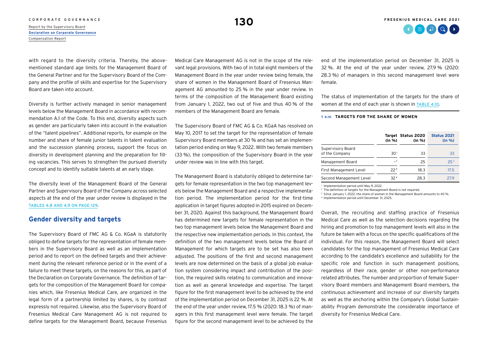# C O R P O R A T E G O V E R N A N C E **130**<br>[Report by the Supervisory Board](#page--1-0) **130**

**[Declaration on Corporate Governance](#page-1-0)** [Compensation Report](#page--1-0)

with regard to the diversity criteria. Thereby, the abovementioned standard age limits for the Management Board of the General Partner and for the Supervisory Board of the Company and the profile of skills and expertise for the Supervisory Board are taken into account.

Diversity is further actively managed in senior management levels below the Management Board in accordance with recommendation A.1 of the Code. To this end, diversity aspects such as gender are particularly taken into account in the evaluation of the "talent pipelines". Additional reports, for example on the number and share of female junior talents in talent evaluation and the succession planning process, support the focus on diversity in development planning and the preparation for filling vacancies. This serves to strengthen the pursued diversity concept and to identify suitable talents at an early stage.

The diversity level of the Management Board of the General Partner and Supervisory Board of the Company across selected aspects at the end of the year under review is displayed in the [TAblES 4.8 AND 4.9 ON](#page-9-0) PAGE 129.

#### **Gender diversity and targets**

The Supervisory Board of FMC AG & Co. KGaA is statutorily obliged to define targets for the representation of female members in the Supervisory Board as well as an implementation period and to report on the defined targets and their achievement during the relevant reference period or in the event of a failure to meet these targets, on the reasons for this, as part of the Declaration on Corporate Governance. The definition of targets for the composition of the Management Board for companies which, like Fresenius Medical Care, are organized in the legal form of a partnership limited by shares, is by contrast expressly not required. Likewise, also the Supervisory Board of Fresenius Medical Care Management AG is not required to define targets for the Management Board, because Fresenius Medical Care Management AG is not in the scope of the relevant legal provisions. With two of in total eight members of the Management Board in the year under review being female, the share of women in the Management Board of Fresenius Management AG amounted to 25 % in the year under review. In terms of the composition of the Management Board existing from January 1, 2022, two out of five and thus 40 % of the members of the Management Board are female.

The Supervisory Board of FMC AG & Co. KGaA has resolved on May 10, 2017 to set the target for the representation of female Supervisory Board members at 30 % and has set an implementation period ending on May 9, 2022. With two female members (33 %), the composition of the Supervisory Board in the year under review was in line with this target.

The Management Board is statutorily obliged to determine targets for female representation in the two top management levels below the Management Board and a respective implementation period. The implementation period for the first-time application in target figures adopted in 2015 expired on December 31, 2020. Against this background, the Management Board has determined new targets for female representation in the two top management levels below the Management Board and the respective new implementation periods. In this context, the definition of the two management levels below the Board of Management for which targets are to be set has also been adjusted. The positions of the first and second management levels are now determined on the basis of a global job evaluation system considering impact and contribution of the position, the required skills relating to communication and innovation as well as general knowledge and expertise. The target figure for the first management level to be achieved by the end of the implementation period on December 31, 2025 is 22 %. At the end of the year under review, 17.5 % (2020: 18.3 %) of managers in this first management level were female. The target figure for the second management level to be achieved by the end of the implementation period on December 31, 2025 is 32 %. At the end of the year under review, 27.9 % (2020: 28.3 %) of managers in this second management level were female.

The status of implementation of the targets for the share of women at the end of each year is shown in TABLE 4.10.

#### **T 4.10 TARGETS FOR THE SHARE OF WOMEN**

|                                     | (in %)          | Target Status 2020<br>(in %) | <b>Status 2021</b><br>(in %) |
|-------------------------------------|-----------------|------------------------------|------------------------------|
| Supervisory Board<br>of the Company | 30 <sup>1</sup> | 33                           | 33                           |
| Management Board                    | $-2$            | 25                           | 25 <sup>3</sup>              |
| First Management Level              | 224             | 18.3                         | 17.5                         |
| Second Management Level             | 32 <sup>4</sup> | 28.3                         | 27.9                         |

<sup>1</sup> Implementation period until May 9, 2022.

<sup>2</sup> The definition of targets for the Management Board is not required.

<sup>3</sup> Since January 1, 2022, the share of women in the Management Board amounts to 40 %.

<sup>4</sup> Implementation period until December 31, 2025.

Overall, the recruiting and staffing practice of Fresenius Medical Care as well as the selection decisions regarding the hiring and promotion to top management levels will also in the future be taken with a focus on the specific qualifications of the individual. For this reason, the Management Board will select candidates for the top management of Fresenius Medical Care according to the candidate's excellence and suitability for the specific role and function in such management positions, regardless of their race, gender or other non-performance related attributes. The number and proportion of female Supervisory Board members and Management Board members, the continuous achievement and increase of our diversity targets as well as the anchoring within the Company's Global Sustainability Program demonstrate the considerable importance of diversity for Fresenius Medical Care.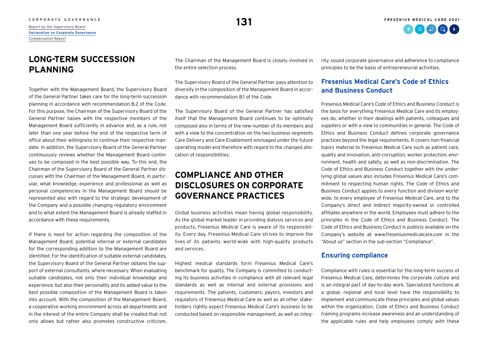**[Declaration on Corporate Governance](#page-1-0)** [Compensation Report](#page--1-0)

# **LONG-TERM SUCCESSION PLANNING**

Together with the Management Board, the Supervisory Board of the General Partner takes care for the long-term succession planning in accordance with recommendation B.2 of the Code. For this purpose, the Chairman of the Supervisory Board of the General Partner liaises with the respective members of the Management Board sufficiently in advance and, as a rule, not later than one year before the end of the respective term of office about their willingness to continue their respective mandate. In addition, the Supervisory Board of the General Partner continuously reviews whether the Management Board continues to be composed in the best possible way. To this end, the Chairman of the Supervisory Board of the General Partner discusses with the Chairman of the Management Board, in particular, what knowledge, experience and professional as well as personal competencies in the Management Board should be represented also with regard to the strategic development of the Company and a possible changing regulatory environment and to what extent the Management Board is already staffed in accordance with these requirements.

If there is need for action regarding the composition of the Management Board, potential internal or external candidates for the corresponding addition to the Management Board are identified. For the identification of suitable external candidates, the Supervisory Board of the General Partner obtains the support of external consultants, where necessary. When evaluating suitable candidates, not only their individual knowledge and experience, but also their personality and its added value to the best possible composition of the Management Board is taken into account. With the composition of the Management Board, a cooperative working environment across all departments and in the interest of the entire Company shall be created that not only allows but rather also promotes constructive criticism.

The Chairman of the Management Board is closely involved in the entire selection process.

The Supervisory Board of the General Partner pays attention to diversity in the composition of the Management Board in accordance with recommendation B.1 of the Code.

The Supervisory Board of the General Partner has satisfied itself that the Management Board continues to be optimally composed also in terms of the new number of its members and with a view to the concentration on the two business segments Care Delivery and Care Enablement envisaged under the future operating model and therefore with regard to the changed allocation of responsibilities.

# **COMPLIANCE AND OTHER DISCLOSURES ON CORPORATE GOVERNANCE PRACTICES**

Global business activities mean having global responsibility. As the global market leader in providing dialysis services and products, Fresenius Medical Care is aware of its responsibility. Every day, Fresenius Medical Care strives to improve the lives of its patients world-wide with high-quality products and services.

Highest medical standards form Fresenius Medical Care's benchmark for quality. The Company is committed to conducting its business activities in compliance with all relevant legal standards as well as internal and external provisions and requirements. The patients, customers, payors, investors and regulators of Fresenius Medical Care as well as all other stakeholders rightly expect Fresenius Medical Care's business to be conducted based on responsible management, as well as integrity, sound corporate governance and adherence to compliance principles to be the basis of entrepreneurial activities.

## **Fresenius Medical Care's Code of Ethics and Business Conduct**

Fresenius Medical Care's Code of Ethics and Business Conduct is the basis for everything Fresenius Medical Care and its employees do, whether in their dealings with patients, colleagues and suppliers or with a view to communities in general. The Code of Ethics and Business Conduct defines corporate governance practices beyond the legal requirements. It covers non-financial topics material to Fresenius Medical Care such as patient care, quality and innovation, anti-corruption, worker protection, environment, health and safety, as well as non-discrimination. The Code of Ethics and Business Conduct together with the underlying global values also includes Fresenius Medical Care's commitment to respecting human rights. The Code of Ethics and Business Conduct applies to every function and division worldwide, to every employee of Fresenius Medical Care, and to the Company's direct and indirect majority-owned or controlled affiliates anywhere in the world. Employees must adhere to the principles in the Code of Ethics and Business Conduct. The Code of Ethics and Business Conduct is publicly available on the Company's website at [www.freseniusmedicalcare.com](https://www.freseniusmedicalcare.com/) in the "About us" section in the sub-section "Compliance".

### **Ensuring compliance**

Compliance with rules is essential for the long-term success of Fresenius Medical Care, determines the corporate culture and is an integral part of day-to-day work. Specialized functions at a global, regional and local level have the responsibility to implement and communicate these principles and global values within the organization. Code of Ethics and Business Conduct training programs increase awareness and an understanding of the applicable rules and help employees comply with these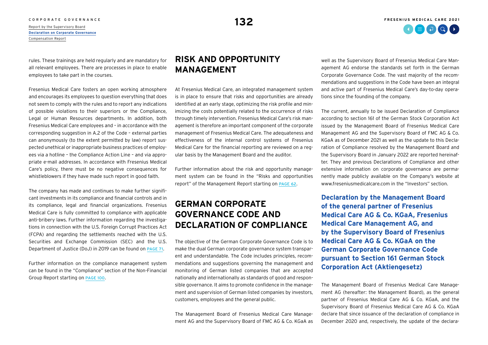C O R P O R A T E G O V E R N A N C E **132**<br>[Report by the Supervisory Board](#page--1-0) **132 [Declaration on Corporate Governance](#page-1-0)** [Compensation Report](#page--1-0)

rules. These trainings are held regularly and are mandatory for all relevant employees. There are processes in place to enable employees to take part in the courses.

Fresenius Medical Care fosters an open working atmosphere and encourages its employees to question everything that does not seem to comply with the rules and to report any indications of possible violations to their superiors or the Compliance, Legal or Human Resources departments. In addition, both Fresenius Medical Care employees and – in accordance with the corresponding suggestion in A.2 of the Code – external parties can anonymously (to the extent permitted by law) report suspected unethical or inappropriate business practices of employees via a hotline – the Compliance Action Line – and via appropriate e-mail addresses. In accordance with Fresenius Medical Care's policy, there must be no negative consequences for whistleblowers if they have made such report in good faith.

The company has made and continues to make further significant investments in its compliance and financial controls and in its compliance, legal and financial organizations. Fresenius Medical Care is fully committed to compliance with applicable anti-bribery laws. Further information regarding the investigations in connection with the U.S. Foreign Corrupt Practices Act (FCPA) and regarding the settlements reached with the U.S. Securities and Exchange Commission (SEC) and the U.S. Department of Justice (DoJ) in 2019 can be found on [PAGE 71](#page--1-0).

Further information on the compliance management system can be found in the "Compliance" section of the Non-Financial Group Report starting on [PAGE 100](#page--1-0).

# **RISK AND OPPORTUNITY MANAGEMENT**

At Fresenius Medical Care, an integrated management system is in place to ensure that risks and opportunities are already identified at an early stage, optimizing the risk profile and minimizing the costs potentially related to the occurrence of risks through timely intervention. Fresenius Medical Care's risk management is therefore an important component of the corporate management of Fresenius Medical Care. The adequateness and effectiveness of the internal control systems of Fresenius Medical Care for the financial reporting are reviewed on a regular basis by the Management Board and the auditor.

Further information about the risk and opportunity management system can be found in the "Risks and opportunities report" of the Management Report starting on [PAGE 62](#page--1-0).

# **GERMAN CORPORATE GOVERNANCE CODE AND DECLARATION OF COMPLIANCE**

The objective of the German Corporate Governance Code is to make the dual German corporate governance system transparent and understandable. The Code includes principles, recommendations and suggestions governing the management and monitoring of German listed companies that are accepted nationally and internationally as standards of good and responsible governance. It aims to promote confidence in the management and supervision of German listed companies by investors, customers, employees and the general public.

The Management Board of Fresenius Medical Care Management AG and the Supervisory Board of FMC AG & Co. KGaA as

well as the Supervisory Board of Fresenius Medical Care Management AG endorse the standards set forth in the German Corporate Governance Code. The vast majority of the recommendations and suggestions in the Code have been an integral and active part of Fresenius Medical Care's day-to-day operations since the founding of the company.

The current, annually to be issued Declaration of Compliance according to section 161 of the German Stock Corporation Act issued by the Management Board of Fresenius Medical Care Management AG and the Supervisory Board of FMC AG & Co. KGaA as of December 2021 as well as the update to this Declaration of Compliance resolved by the Management Board and the Supervisory Board in January 2022 are reported hereinafter. They and previous Declarations of Compliance and other extensive information on corporate governance are permanently made publicly available on the Company's website at [www.freseniusmedicalcare.com i](https://www.freseniusmedicalcare.com/)n the "Investors" section.

**Declaration by the Management Board of the general partner of Fresenius Medical Care AG & Co. KGaA, Fresenius Medical Care Management AG, and by the Supervisory Board of Fresenius Medical Care AG & Co. KGaA on the German Corporate Governance Code pursuant to Section 161 German Stock Corporation Act (Aktiengesetz)**

The Management Board of Fresenius Medical Care Management AG (hereafter: the Management Board), as the general partner of Fresenius Medical Care AG & Co. KGaA, and the Supervisory Board of Fresenius Medical Care AG & Co. KGaA declare that since issuance of the declaration of compliance in December 2020 and, respectively, the update of the declara-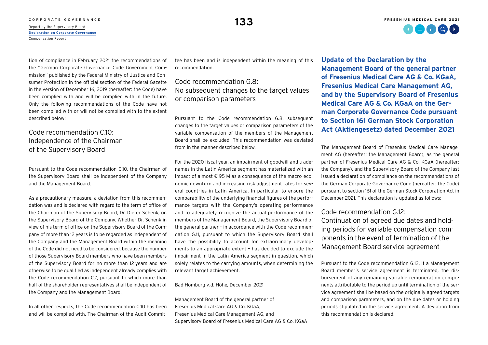# C O R P O R A T E G O V E R N A N C E **133** A [Report by the Supervisory Board](#page--1-0) **133**

**[Declaration on Corporate Governance](#page-1-0)** [Compensation Report](#page--1-0)

tion of compliance in February 2021 the recommendations of the "German Corporate Governance Code Government Commission" published by the Federal Ministry of Justice and Consumer Protection in the official section of the Federal Gazette in the version of December 16, 2019 (hereafter: the Code) have been complied with and will be complied with in the future. Only the following recommendations of the Code have not been complied with or will not be complied with to the extent described below:

## Code recommendation C10<sup>.</sup> Independence of the Chairman of the Supervisory Board

Pursuant to the Code recommendation C.10, the Chairman of the Supervisory Board shall be independent of the Company and the Management Board.

As a precautionary measure, a deviation from this recommendation was and is declared with regard to the term of office of the Chairman of the Supervisory Board, Dr. Dieter Schenk, on the Supervisory Board of the Company. Whether Dr. Schenk in view of his term of office on the Supervisory Board of the Company of more than 12 years is to be regarded as independent of the Company and the Management Board within the meaning of the Code did not need to be considered, because the number of those Supervisory Board members who have been members of the Supervisory Board for no more than 12 years and are otherwise to be qualified as independent already complies with the Code recommendation C.7, pursuant to which more than half of the shareholder representatives shall be independent of the Company and the Management Board.

In all other respects, the Code recommendation C.10 has been and will be complied with. The Chairman of the Audit Committee has been and is independent within the meaning of this recommendation.

## Code recommendation G.8: No subsequent changes to the target values or comparison parameters

Pursuant to the Code recommendation G.8, subsequent changes to the target values or comparison parameters of the variable compensation of the members of the Management Board shall be excluded. This recommendation was deviated from in the manner described below.

For the 2020 fiscal year, an impairment of goodwill and tradenames in the Latin America segment has materialized with an impact of almost €195 M as a consequence of the macro-economic downturn and increasing risk adjustment rates for several countries in Latin America. In particular to ensure the comparability of the underlying financial figures of the performance targets with the Company's operating performance and to adequately recognize the actual performance of the members of the Management Board, the Supervisory Board of the general partner – in accordance with the Code recommendation G.11, pursuant to which the Supervisory Board shall have the possibility to account for extraordinary developments to an appropriate extent – has decided to exclude the impairment in the Latin America segment in question, which solely relates to the carrying amounts, when determining the relevant target achievement.

#### Bad Homburg v.d. Höhe, December 2021

Management Board of the general partner of Fresenius Medical Care AG & Co. KGaA, Fresenius Medical Care Management AG, and Supervisory Board of Fresenius Medical Care AG & Co. KGaA **Update of the Declaration by the Management Board of the general partner of Fresenius Medical Care AG & Co. KGaA, Fresenius Medical Care Management AG, and by the Supervisory Board of Fresenius Medical Care AG & Co. KGaA on the German Corporate Governance Code pursuant to Section 161 German Stock Corporation Act (Aktiengesetz) dated December 2021**

The Management Board of Fresenius Medical Care Management AG (hereafter: the Management Board), as the general partner of Fresenius Medical Care AG & Co. KGaA (hereafter: the Company), and the Supervisory Board of the Company last issued a declaration of compliance on the recommendations of the German Corporate Governance Code (hereafter: the Code) pursuant to section 161 of the German Stock Corporation Act in December 2021. This declaration is updated as follows:

#### Code recommendation G12:

Continuation of agreed due dates and holding periods for variable compensation components in the event of termination of the Management Board service agreement

Pursuant to the Code recommendation G.12, if a Management Board member's service agreement is terminated, the disbursement of any remaining variable remuneration components attributable to the period up until termination of the service agreement shall be based on the originally agreed targets and comparison parameters, and on the due dates or holding periods stipulated in the service agreement. A deviation from this recommendation is declared.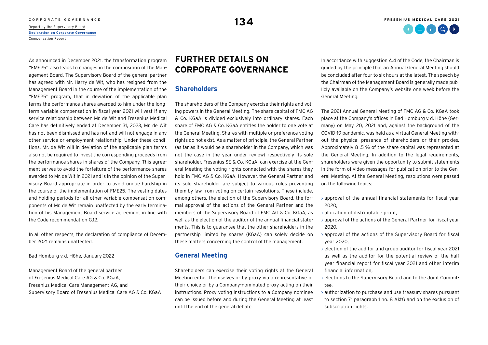# C O R P O R A T E G O V E R N A N C E **1344 September 1344 September 1344**<br>[Report by the Supervisory Board](#page--1-0) **1344 September 2006**

**[Declaration on Corporate Governance](#page-1-0)** [Compensation Report](#page--1-0)

As announced in December 2021, the transformation program "FME25" also leads to changes in the composition of the Management Board. The Supervisory Board of the general partner has agreed with Mr. Harry de Wit, who has resigned from the Management Board in the course of the implementation of the "FME25" program, that in deviation of the applicable plan terms the performance shares awarded to him under the longterm variable compensation in fiscal year 2021 will vest if any service relationship between Mr. de Wit and Fresenius Medical Care has definitively ended at December 31, 2023, Mr. de Wit has not been dismissed and has not and will not engage in any other service or employment relationship. Under these conditions, Mr. de Wit will in deviation of the applicable plan terms also not be required to invest the corresponding proceeds from the performance shares in shares of the Company. This agreement serves to avoid the forfeiture of the performance shares awarded to Mr. de Wit in 2021 and is in the opinion of the Supervisory Board appropriate in order to avoid undue hardship in the course of the implementation of FME25. The vesting dates and holding periods for all other variable compensation components of Mr. de Wit remain unaffected by the early termination of his Management Board service agreement in line with the Code recommendation G.12.

In all other respects, the declaration of compliance of December 2021 remains unaffected.

Bad Homburg v.d. Höhe, January 2022

Management Board of the general partner of Fresenius Medical Care AG & Co. KGaA, Fresenius Medical Care Management AG, and Supervisory Board of Fresenius Medical Care AG & Co. KGaA

# **FURTHER DETAILS ON CORPORATE GOVERNANCE**

#### **Shareholders**

The shareholders of the Company exercise their rights and voting powers in the General Meeting. The share capital of FMC AG & Co. KGaA is divided exclusively into ordinary shares. Each share of FMC AG & Co. KGaA entitles the holder to one vote at the General Meeting. Shares with multiple or preference voting rights do not exist. As a matter of principle, the General Partner (as far as it would be a shareholder in the Company, which was not the case in the year under review) respectively its sole shareholder, Fresenius SE & Co. KGaA, can exercise at the General Meeting the voting rights connected with the shares they hold in FMC AG & Co. KGaA. However, the General Partner and its sole shareholder are subject to various rules preventing them by law from voting on certain resolutions. These include, among others, the election of the Supervisory Board, the formal approval of the actions of the General Partner and the members of the Supervisory Board of FMC AG & Co. KGaA, as well as the election of the auditor of the annual financial statements. This is to guarantee that the other shareholders in the partnership limited by shares (KGaA) can solely decide on these matters concerning the control of the management.

## **General Meeting**

Shareholders can exercise their voting rights at the General Meeting either themselves or by proxy via a representative of their choice or by a Company-nominated proxy acting on their instructions. Proxy voting instructions to a Company nominee can be issued before and during the General Meeting at least until the end of the general debate.

In accordance with suggestion A.4 of the Code, the Chairman is guided by the principle that an Annual General Meeting should be concluded after four to six hours at the latest. The speech by the Chairman of the Management Board is generally made publicly available on the Company's website one week before the General Meeting.

The 2021 Annual General Meeting of FMC AG & Co. KGaA took place at the Company's offices in Bad Homburg v.d. Höhe (Germany) on May 20, 2021 and, against the background of the COVID-19 pandemic, was held as a virtual General Meeting without the physical presence of shareholders or their proxies. Approximately 81.5 % of the share capital was represented at the General Meeting. In addition to the legal requirements, shareholders were given the opportunity to submit statements in the form of video messages for publication prior to the General Meeting. At the General Meeting, resolutions were passed on the following topics:

- › approval of the annual financial statements for fiscal year 2020,
- › allocation of distributable profit,
- › approval of the actions of the General Partner for fiscal year 2020,
- $\rightarrow$  approval of the actions of the Supervisory Board for fiscal year 2020,
- › election of the auditor and group auditor for fiscal year 2021 as well as the auditor for the potential review of the half year financial report for fiscal year 2021 and other interim financial information,
- › elections to the Supervisory Board and to the Joint Committee,
- › authorization to purchase and use treasury shares pursuant to section 71 paragraph 1 no. 8 AktG and on the exclusion of subscription rights.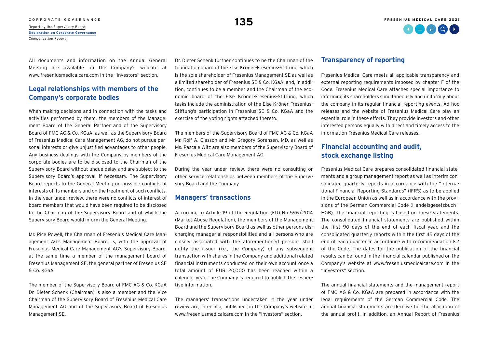## [CORPORATE GOVERNANCE](#page--1-0) **FRESENIUS MEDICAL CARE 2021**  $\Omega \oplus \Omega$   $\Omega$

# C O R P O R A T E G O V E R N A N C E **135**<br>[Report by the Supervisory Board](#page--1-0) **135**

**[Declaration on Corporate Governance](#page-1-0)** [Compensation Report](#page--1-0)

All documents and information on the Annual General Meeting are available on the Company's website at [www.freseniusmedicalcare.com i](https://www.freseniusmedicalcare.com)n the "Investors" section.

## **Legal relationships with members of the Company's corporate bodies**

When making decisions and in connection with the tasks and activities performed by them, the members of the Management Board of the General Partner and of the Supervisory Board of FMC AG & Co. KGaA, as well as the Supervisory Board of Fresenius Medical Care Management AG, do not pursue personal interests or give unjustified advantages to other people. Any business dealings with the Company by members of the corporate bodies are to be disclosed to the Chairman of the Supervisory Board without undue delay and are subject to the Supervisory Board's approval, if necessary. The Supervisory Board reports to the General Meeting on possible conflicts of interests of its members and on the treatment of such conflicts. In the year under review, there were no conflicts of interest of board members that would have been required to be disclosed to the Chairman of the Supervisory Board and of which the Supervisory Board would inform the General Meeting.

Mr. Rice Powell, the Chairman of Fresenius Medical Care Management AG's Management Board, is, with the approval of Fresenius Medical Care Management AG's Supervisory Board, at the same time a member of the management board of Fresenius Management SE, the general partner of Fresenius SE & Co. KGaA.

The member of the Supervisory Board of FMC AG & Co. KGaA Dr. Dieter Schenk (Chairman) is also a member and the Vice Chairman of the Supervisory Board of Fresenius Medical Care Management AG and of the Supervisory Board of Fresenius Management SE.

Dr. Dieter Schenk further continues to be the Chairman of the foundation board of the Else Kröner-Fresenius-Stiftung, which is the sole shareholder of Fresenius Management SE as well as a limited shareholder of Fresenius SE & Co. KGaA, and, in addition, continues to be a member and the Chairman of the economic board of the Else Kröner-Fresenius-Stiftung, which tasks include the administration of the Else Kröner-Fresenius-Stiftung's participation in Fresenius SE & Co. KGaA and the exercise of the voting rights attached thereto.

The members of the Supervisory Board of FMC AG & Co. KGaA Mr. Rolf A. Classon and Mr. Gregory Sorensen, MD, as well as Ms. Pascale Witz are also members of the Supervisory Board of Fresenius Medical Care Management AG.

During the year under review, there were no consulting or other service relationships between members of the Supervisory Board and the Company.

## **Managers' transactions**

According to Article 19 of the Regulation (EU) No 596/ 2014 (Market Abuse Regulation), the members of the Management Board and the Supervisory Board as well as other persons discharging managerial responsibilities and all persons who are closely associated with the aforementioned persons shall notify the issuer (i.e., the Company) of any subsequent transaction with shares in the Company and additional related financial instruments conducted on their own account once a total amount of EUR 20,000 has been reached within a calendar year. The Company is required to publish the respective information.

The managers' transactions undertaken in the year under review are, inter alia, published on the Company's website at [www.freseniusmedicalcare.com](https://www.freseniusmedicalcare.com/) in the "Investors" section.

#### **Transparency of reporting**

Fresenius Medical Care meets all applicable transparency and external reporting requirements imposed by chapter F of the Code. Fresenius Medical Care attaches special importance to informing its shareholders simultaneously and uniformly about the company in its regular financial reporting events. Ad hoc releases and the website of Fresenius Medical Care play an essential role in these efforts. They provide investors and other interested persons equally with direct and timely access to the information Fresenius Medical Care releases.

## **Financial accounting and audit, stock exchange listing**

Fresenius Medical Care prepares consolidated financial statements and a group management report as well as interim consolidated quarterly reports in accordance with the "International Financial Reporting Standards" (IFRS) as to be applied in the European Union as well as in accordance with the provisions of the German Commercial Code (Handelsgesetzbuch - HGB). The financial reporting is based on these statements. The consolidated financial statements are published within the first 90 days of the end of each fiscal year, and the consolidated quarterly reports within the first 45 days of the end of each quarter in accordance with recommendation F.2 of the Code. The dates for the publication of the financial results can be found in the financial calendar published on the Company's website at [www.freseniusmedicalcare.com](https://www.freseniusmedicalcare.com) in the "Investors" section.

The annual financial statements and the management report of FMC AG & Co. KGaA are prepared in accordance with the legal requirements of the German Commercial Code. The annual financial statements are decisive for the allocation of the annual profit. In addition, an Annual Report of Fresenius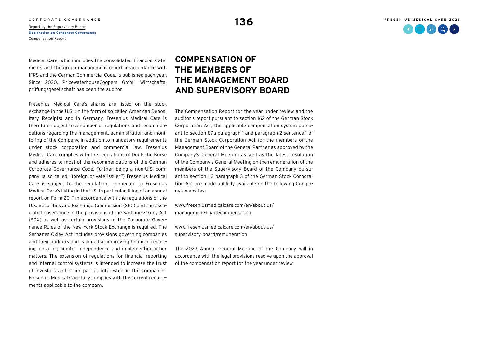# C O R P O R A T E G O V E R N A N C E **136** C O R P O R A T E SUPERVISORY BOARD **136** C PROOF A [Report by the Supervisory Board](#page--1-0) **136**

**[Declaration on Corporate Governance](#page-1-0)** [Compensation Report](#page--1-0)

Medical Care, which includes the consolidated financial statements and the group management report in accordance with IFRS and the German Commercial Code, is published each year. Since 2020, PricewaterhouseCoopers GmbH Wirtschaftsprüfungsgesellschaft has been the auditor.

Fresenius Medical Care's shares are listed on the stock exchange in the U.S. (in the form of so-called American Depositary Receipts) and in Germany. Fresenius Medical Care is therefore subject to a number of regulations and recommendations regarding the management, administration and monitoring of the Company. In addition to mandatory requirements under stock corporation and commercial law, Fresenius Medical Care complies with the regulations of Deutsche Börse and adheres to most of the recommendations of the German Corporate Governance Code. Further, being a non-U.S. company (a so-called "foreign private issuer") Fresenius Medical Care is subject to the regulations connected to Fresenius Medical Care's listing in the U.S. In particular, filing of an annual report on Form 20-F in accordance with the regulations of the U.S. Securities and Exchange Commission (SEC) and the associated observance of the provisions of the Sarbanes-Oxley Act (SOX) as well as certain provisions of the Corporate Governance Rules of the New York Stock Exchange is required. The Sarbanes-Oxley Act includes provisions governing companies and their auditors and is aimed at improving financial reporting, ensuring auditor independence and implementing other matters. The extension of regulations for financial reporting and internal control systems is intended to increase the trust of investors and other parties interested in the companies. Fresenius Medical Care fully complies with the current requirements applicable to the company.

# **COMPENSATION OF THE MEMBERS OF THE MANAGEMENT BOARD AND SUPERVISORY BOARD**

The Compensation Report for the year under review and the auditor's report pursuant to section 162 of the German Stock Corporation Act, the applicable compensation system pursuant to section 87a paragraph 1 and paragraph 2 sentence 1 of the German Stock Corporation Act for the members of the Management Board of the General Partner as approved by the Company's General Meeting as well as the latest resolution of the Company's General Meeting on the remuneration of the members of the Supervisory Board of the Company pursuant to section 113 paragraph 3 of the German Stock Corporation Act are made publicly available on the following Company's websites:

[www.freseniusmedicalcare.com/en/about-us/](https://www.freseniusmedicalcare.com/en/about-us/management-board/compensation) management-board/compensation

[www.freseniusmedicalcare.com/en/about-us/](http://www.freseniusmedicalcare.com/en/about-us/supervisory-board/remuneration) supervisory-board/remuneration

The 2022 Annual General Meeting of the Company will in accordance with the legal provisions resolve upon the approval of the compensation report for the year under review.